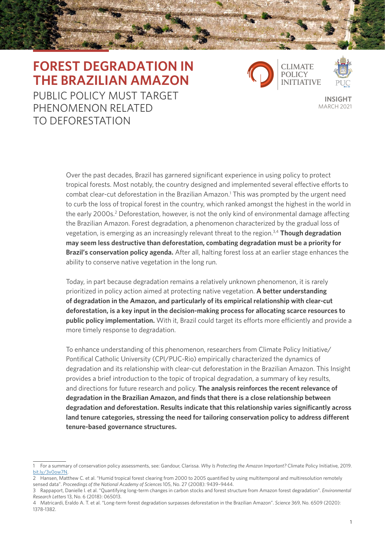# **FOREST DEGRADATION IN THE BRAZILIAN AMAZON**

PUBLIC POLICY MUST TARGET PHENOMENON RELATED TO DEFORESTATION



**INSIGHT** MARCH 2021

Over the past decades, Brazil has garnered significant experience in using policy to protect tropical forests. Most notably, the country designed and implemented several effective efforts to combat clear-cut deforestation in the Brazilian Amazon.<sup>1</sup> This was prompted by the urgent need to curb the loss of tropical forest in the country, which ranked amongst the highest in the world in the early 2000s.<sup>2</sup> Deforestation, however, is not the only kind of environmental damage affecting the Brazilian Amazon. Forest degradation, a phenomenon characterized by the gradual loss of vegetation, is emerging as an increasingly relevant threat to the region.3,4 **Though degradation may seem less destructive than deforestation, combating degradation must be a priority for Brazil's conservation policy agenda.** After all, halting forest loss at an earlier stage enhances the ability to conserve native vegetation in the long run.

Today, in part because degradation remains a relatively unknown phenomenon, it is rarely prioritized in policy action aimed at protecting native vegetation. **A better understanding of degradation in the Amazon, and particularly of its empirical relationship with clear-cut deforestation, is a key input in the decision-making process for allocating scarce resources to public policy implementation.** With it, Brazil could target its efforts more efficiently and provide a more timely response to degradation.

To enhance understanding of this phenomenon, researchers from Climate Policy Initiative/ Pontifical Catholic University (CPI/PUC-Rio) empirically characterized the dynamics of degradation and its relationship with clear-cut deforestation in the Brazilian Amazon. This Insight provides a brief introduction to the topic of tropical degradation, a summary of key results, and directions for future research and policy. **The analysis reinforces the recent relevance of degradation in the Brazilian Amazon, and finds that there is a close relationship between degradation and deforestation. Results indicate that this relationship varies significantly across land tenure categories, stressing the need for tailoring conservation policy to address different tenure-based governance structures.**

<sup>1</sup> For a summary of conservation policy assessments, see: Gandour, Clarissa. *Why Is Protecting the Amazon Important?* Climate Policy Initiative, 2019. [bit.ly/3v0ow7N](mailto:https://bit.ly/3v0ow7N?subject=).

<sup>2</sup> Hansen, Matthew C. et al. "Humid tropical forest clearing from 2000 to 2005 quantified by using multitemporal and multiresolution remotely sensed data". *Proceedings of the National Academy of Sciences* 105, No. 27 (2008): 9439–9444.

<sup>3</sup> Rappaport, Danielle I. et al. "Quantifying long-term changes in carbon stocks and forest structure from Amazon forest degradation". *Environmental Research Letters* 13, No. 6 (2018): 065013.

<sup>4</sup> Matricardi, Eraldo A. T. et al. "Long-term forest degradation surpasses deforestation in the Brazilian Amazon". *Science* 369, No. 6509 (2020): 1378-1382.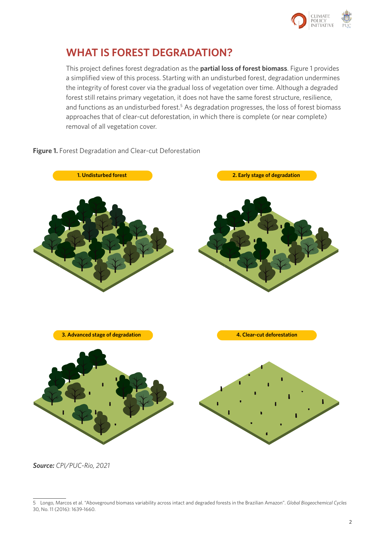

## **WHAT IS FOREST DEGRADATION?**

This project defines forest degradation as the **partial loss of forest biomass**. Figure 1 provides a simplified view of this process. Starting with an undisturbed forest, degradation undermines the integrity of forest cover via the gradual loss of vegetation over time. Although a degraded forest still retains primary vegetation, it does not have the same forest structure, resilience, and functions as an undisturbed forest.<sup>5</sup> As degradation progresses, the loss of forest biomass approaches that of clear-cut deforestation, in which there is complete (or near complete) removal of all vegetation cover.

#### Figure 1. Forest Degradation and Clear-cut Deforestation



*Source: CPI/PUC-Rio, 2021*

<sup>5</sup> Longo, Marcos et al. "Aboveground biomass variability across intact and degraded forests in the Brazilian Amazon". *Global Biogeochemical Cycles* 30, No. 11 (2016): 1639-1660.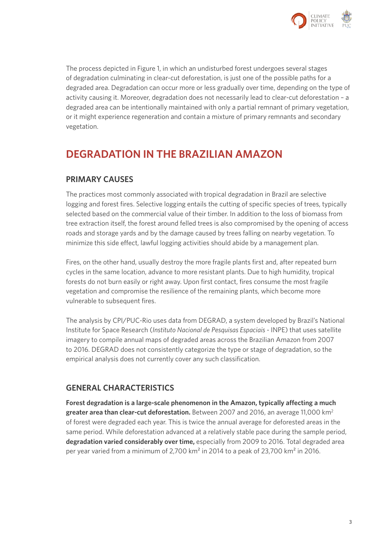

The process depicted in Figure 1, in which an undisturbed forest undergoes several stages of degradation culminating in clear-cut deforestation, is just one of the possible paths for a degraded area. Degradation can occur more or less gradually over time, depending on the type of activity causing it. Moreover, degradation does not necessarily lead to clear-cut deforestation – a degraded area can be intentionally maintained with only a partial remnant of primary vegetation, or it might experience regeneration and contain a mixture of primary remnants and secondary vegetation.

## **DEGRADATION IN THE BRAZILIAN AMAZON**

## **PRIMARY CAUSES**

The practices most commonly associated with tropical degradation in Brazil are selective logging and forest fires. Selective logging entails the cutting of specific species of trees, typically selected based on the commercial value of their timber. In addition to the loss of biomass from tree extraction itself, the forest around felled trees is also compromised by the opening of access roads and storage yards and by the damage caused by trees falling on nearby vegetation. To minimize this side effect, lawful logging activities should abide by a management plan.

Fires, on the other hand, usually destroy the more fragile plants first and, after repeated burn cycles in the same location, advance to more resistant plants. Due to high humidity, tropical forests do not burn easily or right away. Upon first contact, fires consume the most fragile vegetation and compromise the resilience of the remaining plants, which become more vulnerable to subsequent fires.

The analysis by CPI/PUC-Rio uses data from DEGRAD, a system developed by Brazil's National Institute for Space Research (*Instituto Nacional de Pesquisas Espaciais -* INPE) that uses satellite imagery to compile annual maps of degraded areas across the Brazilian Amazon from 2007 to 2016. DEGRAD does not consistently categorize the type or stage of degradation, so the empirical analysis does not currently cover any such classification.

## **GENERAL CHARACTERISTICS**

**Forest degradation is a large-scale phenomenon in the Amazon, typically affecting a much greater area than clear-cut deforestation.** Between 2007 and 2016, an average 11,000 km2 of forest were degraded each year. This is twice the annual average for deforested areas in the same period. While deforestation advanced at a relatively stable pace during the sample period, degradation varied considerably over time, especially from 2009 to 2016. Total degraded area per year varied from a minimum of 2,700 km² in 2014 to a peak of 23,700 km² in 2016.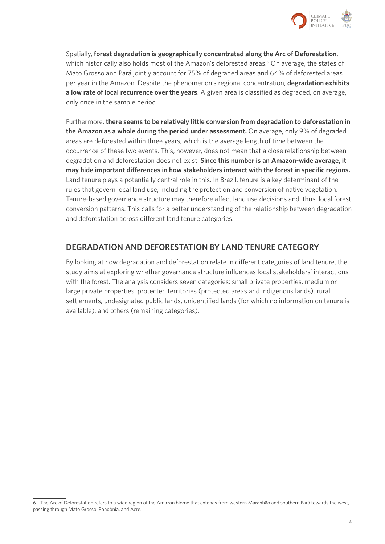

Spatially, **forest degradation is geographically concentrated along the Arc of Deforestation**, which historically also holds most of the Amazon's deforested areas.<sup>6</sup> On average, the states of Mato Grosso and Pará jointly account for 75% of degraded areas and 64% of deforested areas per year in the Amazon. Despite the phenomenon's regional concentration, **degradation exhibits a low rate of local recurrence over the years**. A given area is classified as degraded, on average, only once in the sample period.

Furthermore, **there seems to be relatively little conversion from degradation to deforestation in the Amazon as a whole during the period under assessment.** On average, only 9% of degraded areas are deforested within three years, which is the average length of time between the occurrence of these two events. This, however, does not mean that a close relationship between degradation and deforestation does not exist. **Since this number is an Amazon-wide average, it may hide important differences in how stakeholders interact with the forest in specific regions.**  Land tenure plays a potentially central role in this. In Brazil, tenure is a key determinant of the rules that govern local land use, including the protection and conversion of native vegetation. Tenure-based governance structure may therefore affect land use decisions and, thus, local forest conversion patterns. This calls for a better understanding of the relationship between degradation and deforestation across different land tenure categories.

## **DEGRADATION AND DEFORESTATION BY LAND TENURE CATEGORY**

By looking at how degradation and deforestation relate in different categories of land tenure, the study aims at exploring whether governance structure influences local stakeholders' interactions with the forest. The analysis considers seven categories: small private properties, medium or large private properties, protected territories (protected areas and indigenous lands), rural settlements, undesignated public lands, unidentified lands (for which no information on tenure is available), and others (remaining categories).

<sup>6</sup> The Arc of Deforestation refers to a wide region of the Amazon biome that extends from western Maranhão and southern Pará towards the west, passing through Mato Grosso, Rondônia, and Acre.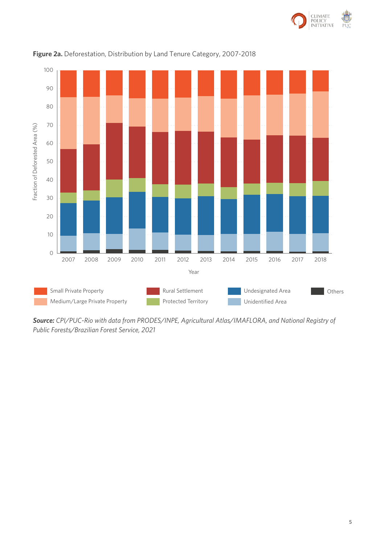



### **Figure 2a.** Deforestation, Distribution by Land Tenure Category, 2007-2018

*Source: CPI/PUC-Rio with data from PRODES/INPE, Agricultural Atlas/IMAFLORA, and National Registry of*  Public Forests/Brazilian Forest Service, 2021 *Public Forests/Brazilian Forest Service, 2021*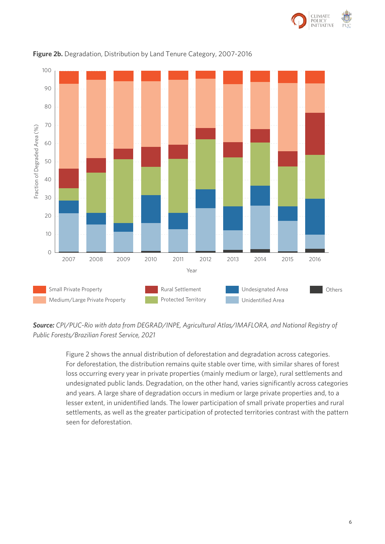



### **Figure 2b.** Degradation, Distribution by Land Tenure Category, 2007-2016

Source: CPI/PUC-Rio with data from DEGRAD/INPE, Agricultural Atlas/IMAFLORA, and National Registry of *Public Forests/Brazilian Forest Service, 2021*

Figure 2 shows the annual distribution of deforestation and degradation across categories. For deforestation, the distribution remains quite stable over time, with similar shares of forest loss occurring every year in private properties (mainly medium or large), rural settlements and undesignated public lands. Degradation, on the other hand, varies significantly across categories and years. A large share of degradation occurs in medium or large private properties and, to a lesser extent, in unidentified lands. The lower participation of small private properties and rural settlements, as well as the greater participation of protected territories contrast with the pattern seen for deforestation.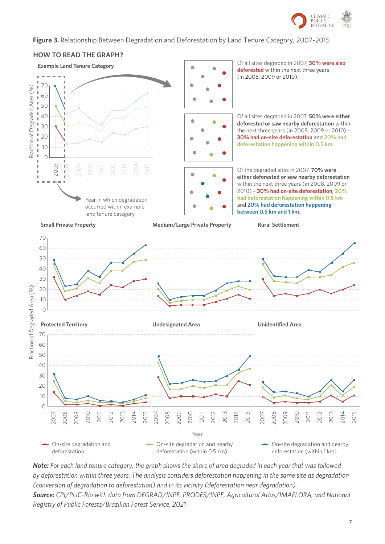

#### **Figure 3.** Relationship Between Degradation and Deforestation by Land Tenure Category, 2007-2015 **Figure 3.** Relationship Between Degradation and Deforestation by Land Tenure Category, 2007-2015 **HOW TO READ THE GRAPH?**



**Note:** For each land tenure category, the graph shows the share of area degraded in each year that was followed by deforestation within three years. The analysis considers deforestation happening in the same site as degradation<br>-(conversion of degradation to deforestation) and in its vicinity (deforestation near degradation). Source: CPI/PUC-Rio with data from DEGRAD/INPE, PRODES/INPE, Agricultural Atlas/IMAFLORA, and National Registry of Public Forests/Brazilian Forest Service, 2021 *Note: For each land tenure category, the graph shows the share of area degraded in each year that was followed by deforestation within three years. The analysis considers deforestation happening in the same site as degradation*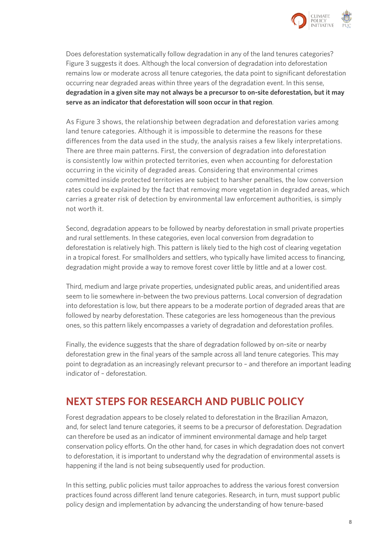

Does deforestation systematically follow degradation in any of the land tenures categories? Figure 3 suggests it does. Although the local conversion of degradation into deforestation remains low or moderate across all tenure categories, the data point to significant deforestation occurring near degraded areas within three years of the degradation event. In this sense, **degradation in a given site may not always be a precursor to on-site deforestation, but it may serve as an indicator that deforestation will soon occur in that region**.

As Figure 3 shows, the relationship between degradation and deforestation varies among land tenure categories. Although it is impossible to determine the reasons for these differences from the data used in the study, the analysis raises a few likely interpretations. There are three main patterns. First, the conversion of degradation into deforestation is consistently low within protected territories, even when accounting for deforestation occurring in the vicinity of degraded areas. Considering that environmental crimes committed inside protected territories are subject to harsher penalties, the low conversion rates could be explained by the fact that removing more vegetation in degraded areas, which carries a greater risk of detection by environmental law enforcement authorities, is simply not worth it.

Second, degradation appears to be followed by nearby deforestation in small private properties and rural settlements. In these categories, even local conversion from degradation to deforestation is relatively high. This pattern is likely tied to the high cost of clearing vegetation in a tropical forest. For smallholders and settlers, who typically have limited access to financing, degradation might provide a way to remove forest cover little by little and at a lower cost.

Third, medium and large private properties, undesignated public areas, and unidentified areas seem to lie somewhere in-between the two previous patterns. Local conversion of degradation into deforestation is low, but there appears to be a moderate portion of degraded areas that are followed by nearby deforestation. These categories are less homogeneous than the previous ones, so this pattern likely encompasses a variety of degradation and deforestation profiles.

Finally, the evidence suggests that the share of degradation followed by on-site or nearby deforestation grew in the final years of the sample across all land tenure categories. This may point to degradation as an increasingly relevant precursor to – and therefore an important leading indicator of – deforestation.

## **NEXT STEPS FOR RESEARCH AND PUBLIC POLICY**

Forest degradation appears to be closely related to deforestation in the Brazilian Amazon, and, for select land tenure categories, it seems to be a precursor of deforestation. Degradation can therefore be used as an indicator of imminent environmental damage and help target conservation policy efforts. On the other hand, for cases in which degradation does not convert to deforestation, it is important to understand why the degradation of environmental assets is happening if the land is not being subsequently used for production.

In this setting, public policies must tailor approaches to address the various forest conversion practices found across different land tenure categories. Research, in turn, must support public policy design and implementation by advancing the understanding of how tenure-based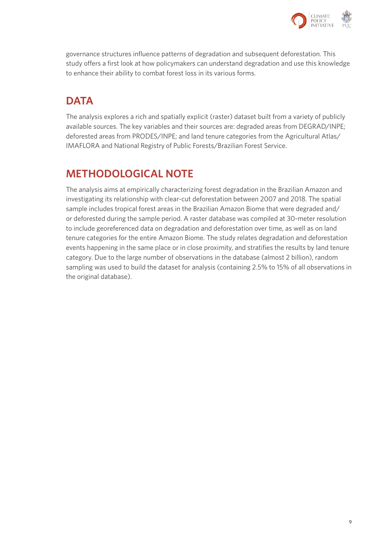

governance structures influence patterns of degradation and subsequent deforestation. This study offers a first look at how policymakers can understand degradation and use this knowledge to enhance their ability to combat forest loss in its various forms.

# **DATA**

The analysis explores a rich and spatially explicit (raster) dataset built from a variety of publicly available sources. The key variables and their sources are: degraded areas from DEGRAD/INPE; deforested areas from PRODES/INPE; and land tenure categories from the Agricultural Atlas/ IMAFLORA and National Registry of Public Forests/Brazilian Forest Service.

# **METHODOLOGICAL NOTE**

The analysis aims at empirically characterizing forest degradation in the Brazilian Amazon and investigating its relationship with clear-cut deforestation between 2007 and 2018. The spatial sample includes tropical forest areas in the Brazilian Amazon Biome that were degraded and/ or deforested during the sample period. A raster database was compiled at 30-meter resolution to include georeferenced data on degradation and deforestation over time, as well as on land tenure categories for the entire Amazon Biome. The study relates degradation and deforestation events happening in the same place or in close proximity, and stratifies the results by land tenure category. Due to the large number of observations in the database (almost 2 billion), random sampling was used to build the dataset for analysis (containing 2.5% to 15% of all observations in the original database).